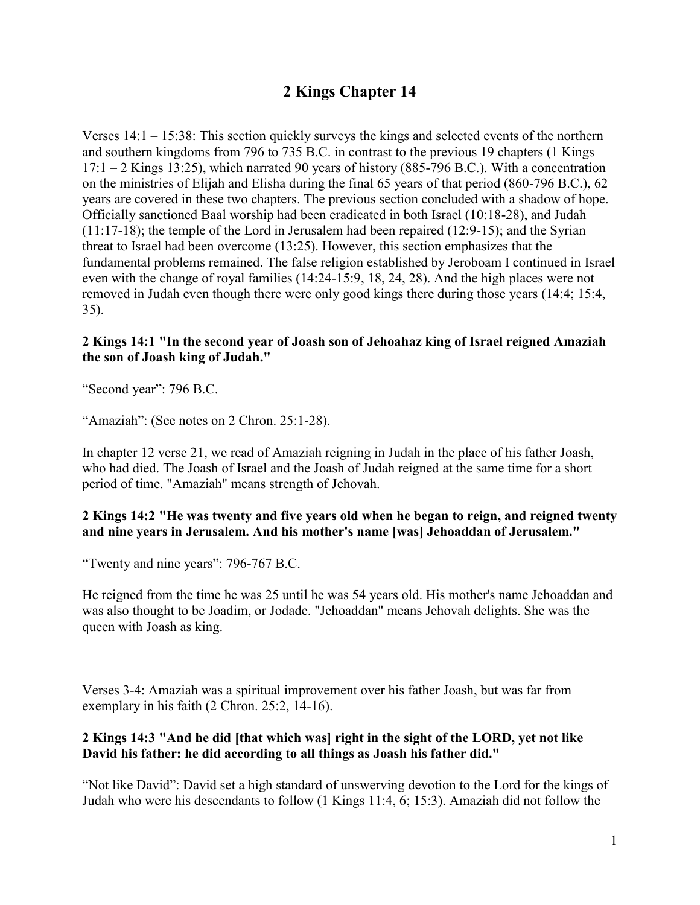# **2 Kings Chapter 14**

Verses  $14:1 - 15:38$ : This section quickly surveys the kings and selected events of the northern and southern kingdoms from 796 to 735 B.C. in contrast to the previous 19 chapters (1 Kings  $17:1 - 2$  Kings 13:25), which narrated 90 years of history (885-796 B.C.). With a concentration on the ministries of Elijah and Elisha during the final 65 years of that period (860-796 B.C.), 62 years are covered in these two chapters. The previous section concluded with a shadow of hope. Officially sanctioned Baal worship had been eradicated in both Israel (10:18-28), and Judah (11:17-18); the temple of the Lord in Jerusalem had been repaired (12:9-15); and the Syrian threat to Israel had been overcome (13:25). However, this section emphasizes that the fundamental problems remained. The false religion established by Jeroboam I continued in Israel even with the change of royal families (14:24-15:9, 18, 24, 28). And the high places were not removed in Judah even though there were only good kings there during those years (14:4; 15:4, 35).

#### **2 Kings 14:1 "In the second year of Joash son of Jehoahaz king of Israel reigned Amaziah the son of Joash king of Judah."**

"Second year": 796 B.C.

"Amaziah": (See notes on 2 Chron. 25:1-28).

In chapter 12 verse 21, we read of Amaziah reigning in Judah in the place of his father Joash, who had died. The Joash of Israel and the Joash of Judah reigned at the same time for a short period of time. "Amaziah" means strength of Jehovah.

#### **2 Kings 14:2 "He was twenty and five years old when he began to reign, and reigned twenty and nine years in Jerusalem. And his mother's name [was] Jehoaddan of Jerusalem."**

"Twenty and nine years": 796-767 B.C.

He reigned from the time he was 25 until he was 54 years old. His mother's name Jehoaddan and was also thought to be Joadim, or Jodade. "Jehoaddan" means Jehovah delights. She was the queen with Joash as king.

Verses 3-4: Amaziah was a spiritual improvement over his father Joash, but was far from exemplary in his faith (2 Chron. 25:2, 14-16).

# **2 Kings 14:3 "And he did [that which was] right in the sight of the LORD, yet not like David his father: he did according to all things as Joash his father did."**

"Not like David": David set a high standard of unswerving devotion to the Lord for the kings of Judah who were his descendants to follow (1 Kings 11:4, 6; 15:3). Amaziah did not follow the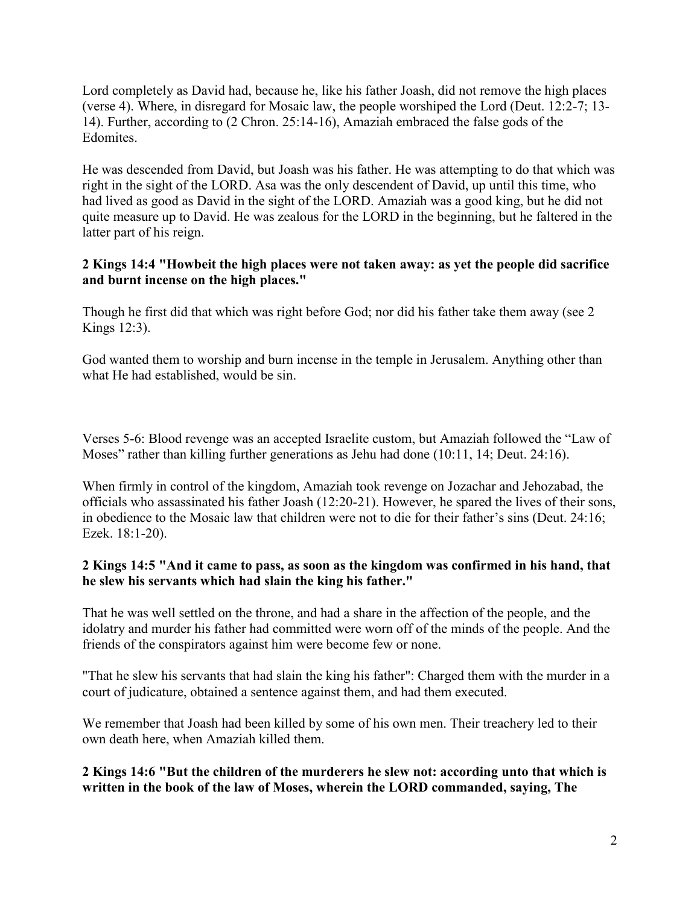Lord completely as David had, because he, like his father Joash, did not remove the high places (verse 4). Where, in disregard for Mosaic law, the people worshiped the Lord (Deut. 12:2-7; 13- 14). Further, according to (2 Chron. 25:14-16), Amaziah embraced the false gods of the Edomites.

He was descended from David, but Joash was his father. He was attempting to do that which was right in the sight of the LORD. Asa was the only descendent of David, up until this time, who had lived as good as David in the sight of the LORD. Amaziah was a good king, but he did not quite measure up to David. He was zealous for the LORD in the beginning, but he faltered in the latter part of his reign.

#### **2 Kings 14:4 "Howbeit the high places were not taken away: as yet the people did sacrifice and burnt incense on the high places."**

Though he first did that which was right before God; nor did his father take them away (see 2 Kings 12:3).

God wanted them to worship and burn incense in the temple in Jerusalem. Anything other than what He had established, would be sin.

Verses 5-6: Blood revenge was an accepted Israelite custom, but Amaziah followed the "Law of Moses" rather than killing further generations as Jehu had done (10:11, 14; Deut. 24:16).

When firmly in control of the kingdom, Amaziah took revenge on Jozachar and Jehozabad, the officials who assassinated his father Joash (12:20-21). However, he spared the lives of their sons, in obedience to the Mosaic law that children were not to die for their father's sins (Deut. 24:16; Ezek. 18:1-20).

# **2 Kings 14:5 "And it came to pass, as soon as the kingdom was confirmed in his hand, that he slew his servants which had slain the king his father."**

That he was well settled on the throne, and had a share in the affection of the people, and the idolatry and murder his father had committed were worn off of the minds of the people. And the friends of the conspirators against him were become few or none.

"That he slew his servants that had slain the king his father": Charged them with the murder in a court of judicature, obtained a sentence against them, and had them executed.

We remember that Joash had been killed by some of his own men. Their treachery led to their own death here, when Amaziah killed them.

**2 Kings 14:6 "But the children of the murderers he slew not: according unto that which is written in the book of the law of Moses, wherein the LORD commanded, saying, The**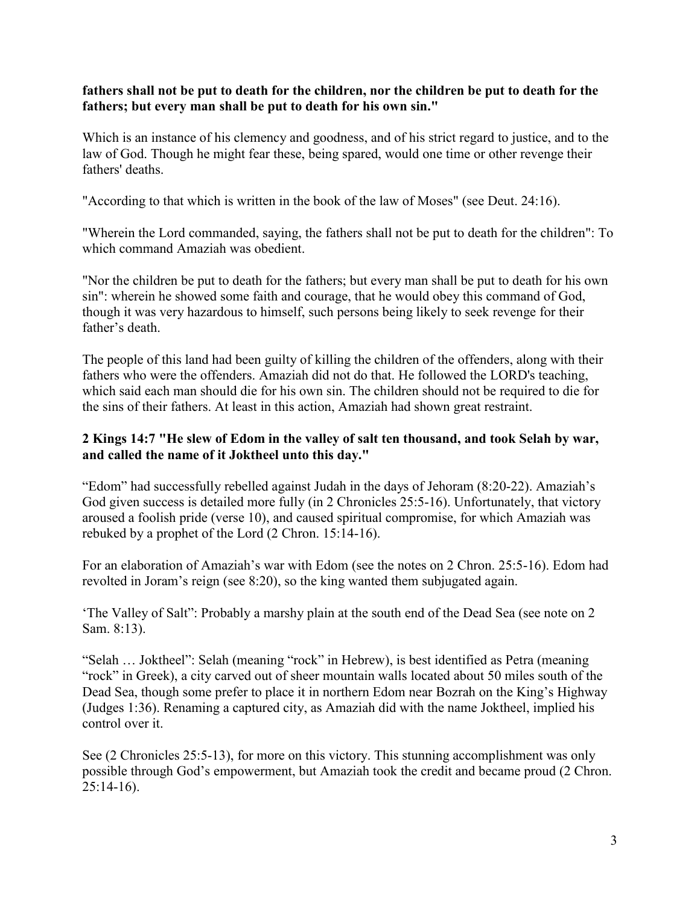#### **fathers shall not be put to death for the children, nor the children be put to death for the fathers; but every man shall be put to death for his own sin."**

Which is an instance of his clemency and goodness, and of his strict regard to justice, and to the law of God. Though he might fear these, being spared, would one time or other revenge their fathers' deaths.

"According to that which is written in the book of the law of Moses" (see Deut. 24:16).

"Wherein the Lord commanded, saying, the fathers shall not be put to death for the children": To which command Amaziah was obedient.

"Nor the children be put to death for the fathers; but every man shall be put to death for his own sin": wherein he showed some faith and courage, that he would obey this command of God, though it was very hazardous to himself, such persons being likely to seek revenge for their father's death.

The people of this land had been guilty of killing the children of the offenders, along with their fathers who were the offenders. Amaziah did not do that. He followed the LORD's teaching, which said each man should die for his own sin. The children should not be required to die for the sins of their fathers. At least in this action, Amaziah had shown great restraint.

# **2 Kings 14:7 "He slew of Edom in the valley of salt ten thousand, and took Selah by war, and called the name of it Joktheel unto this day."**

"Edom" had successfully rebelled against Judah in the days of Jehoram (8:20-22). Amaziah's God given success is detailed more fully (in 2 Chronicles 25:5-16). Unfortunately, that victory aroused a foolish pride (verse 10), and caused spiritual compromise, for which Amaziah was rebuked by a prophet of the Lord (2 Chron. 15:14-16).

For an elaboration of Amaziah's war with Edom (see the notes on 2 Chron. 25:5-16). Edom had revolted in Joram's reign (see 8:20), so the king wanted them subjugated again.

'The Valley of Salt": Probably a marshy plain at the south end of the Dead Sea (see note on 2 Sam. 8:13).

"Selah … Joktheel": Selah (meaning "rock" in Hebrew), is best identified as Petra (meaning "rock" in Greek), a city carved out of sheer mountain walls located about 50 miles south of the Dead Sea, though some prefer to place it in northern Edom near Bozrah on the King's Highway (Judges 1:36). Renaming a captured city, as Amaziah did with the name Joktheel, implied his control over it.

See (2 Chronicles 25:5-13), for more on this victory. This stunning accomplishment was only possible through God's empowerment, but Amaziah took the credit and became proud (2 Chron. 25:14-16).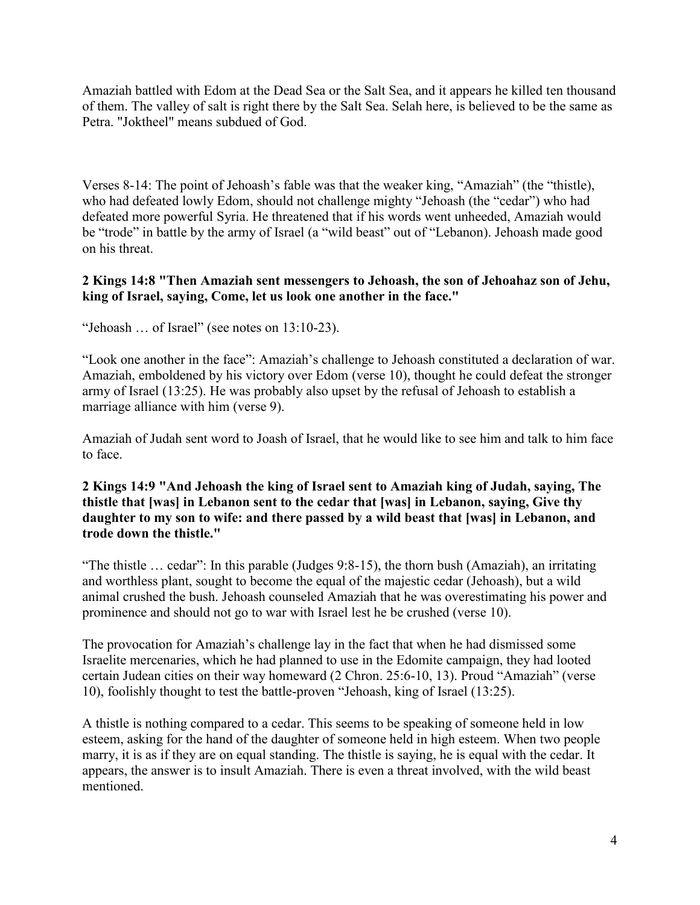Amaziah battled with Edom at the Dead Sea or the Salt Sea, and it appears he killed ten thousand of them. The valley of salt is right there by the Salt Sea. Selah here, is believed to be the same as Petra. "Joktheel" means subdued of God.

Verses 8-14: The point of Jehoash's fable was that the weaker king, "Amaziah" (the "thistle), who had defeated lowly Edom, should not challenge mighty "Jehoash (the "cedar") who had defeated more powerful Syria. He threatened that if his words went unheeded, Amaziah would be "trode" in battle by the army of Israel (a "wild beast" out of "Lebanon). Jehoash made good on his threat.

#### **2 Kings 14:8 "Then Amaziah sent messengers to Jehoash, the son of Jehoahaz son of Jehu, king of Israel, saying, Come, let us look one another in the face."**

"Jehoash … of Israel" (see notes on 13:10-23).

"Look one another in the face": Amaziah's challenge to Jehoash constituted a declaration of war. Amaziah, emboldened by his victory over Edom (verse 10), thought he could defeat the stronger army of Israel (13:25). He was probably also upset by the refusal of Jehoash to establish a marriage alliance with him (verse 9).

Amaziah of Judah sent word to Joash of Israel, that he would like to see him and talk to him face to face.

#### **2 Kings 14:9 "And Jehoash the king of Israel sent to Amaziah king of Judah, saying, The thistle that [was] in Lebanon sent to the cedar that [was] in Lebanon, saying, Give thy daughter to my son to wife: and there passed by a wild beast that [was] in Lebanon, and trode down the thistle."**

"The thistle … cedar": In this parable (Judges 9:8-15), the thorn bush (Amaziah), an irritating and worthless plant, sought to become the equal of the majestic cedar (Jehoash), but a wild animal crushed the bush. Jehoash counseled Amaziah that he was overestimating his power and prominence and should not go to war with Israel lest he be crushed (verse 10).

The provocation for Amaziah's challenge lay in the fact that when he had dismissed some Israelite mercenaries, which he had planned to use in the Edomite campaign, they had looted certain Judean cities on their way homeward (2 Chron. 25:6-10, 13). Proud "Amaziah" (verse 10), foolishly thought to test the battle-proven "Jehoash, king of Israel (13:25).

A thistle is nothing compared to a cedar. This seems to be speaking of someone held in low esteem, asking for the hand of the daughter of someone held in high esteem. When two people marry, it is as if they are on equal standing. The thistle is saying, he is equal with the cedar. It appears, the answer is to insult Amaziah. There is even a threat involved, with the wild beast mentioned.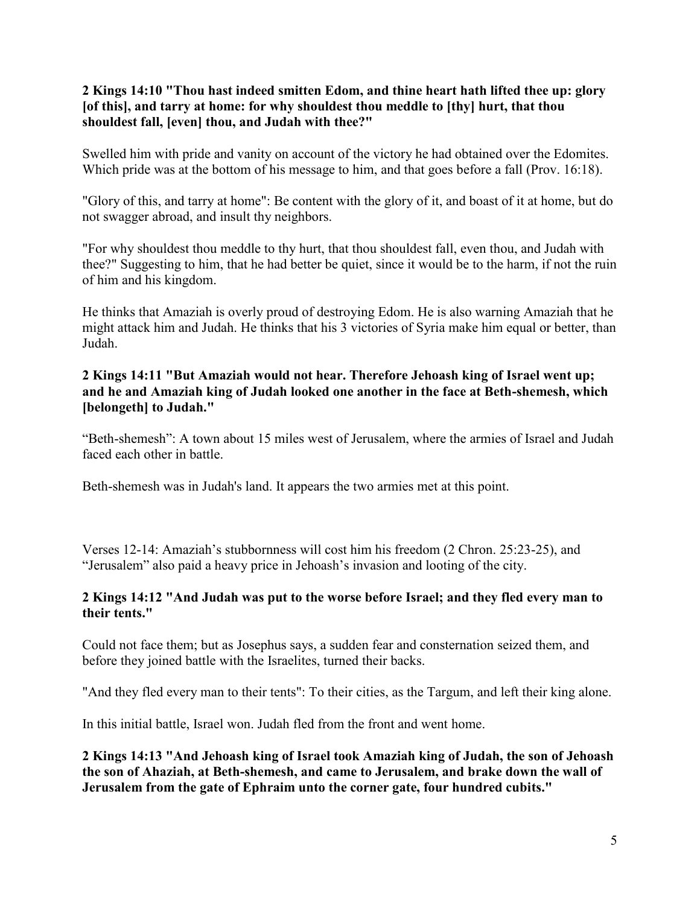## **2 Kings 14:10 "Thou hast indeed smitten Edom, and thine heart hath lifted thee up: glory [of this], and tarry at home: for why shouldest thou meddle to [thy] hurt, that thou shouldest fall, [even] thou, and Judah with thee?"**

Swelled him with pride and vanity on account of the victory he had obtained over the Edomites. Which pride was at the bottom of his message to him, and that goes before a fall (Prov. 16:18).

"Glory of this, and tarry at home": Be content with the glory of it, and boast of it at home, but do not swagger abroad, and insult thy neighbors.

"For why shouldest thou meddle to thy hurt, that thou shouldest fall, even thou, and Judah with thee?" Suggesting to him, that he had better be quiet, since it would be to the harm, if not the ruin of him and his kingdom.

He thinks that Amaziah is overly proud of destroying Edom. He is also warning Amaziah that he might attack him and Judah. He thinks that his 3 victories of Syria make him equal or better, than Judah.

# **2 Kings 14:11 "But Amaziah would not hear. Therefore Jehoash king of Israel went up; and he and Amaziah king of Judah looked one another in the face at Beth-shemesh, which [belongeth] to Judah."**

"Beth-shemesh": A town about 15 miles west of Jerusalem, where the armies of Israel and Judah faced each other in battle.

Beth-shemesh was in Judah's land. It appears the two armies met at this point.

Verses 12-14: Amaziah's stubbornness will cost him his freedom (2 Chron. 25:23-25), and "Jerusalem" also paid a heavy price in Jehoash's invasion and looting of the city.

# **2 Kings 14:12 "And Judah was put to the worse before Israel; and they fled every man to their tents."**

Could not face them; but as Josephus says, a sudden fear and consternation seized them, and before they joined battle with the Israelites, turned their backs.

"And they fled every man to their tents": To their cities, as the Targum, and left their king alone.

In this initial battle, Israel won. Judah fled from the front and went home.

**2 Kings 14:13 "And Jehoash king of Israel took Amaziah king of Judah, the son of Jehoash the son of Ahaziah, at Beth-shemesh, and came to Jerusalem, and brake down the wall of Jerusalem from the gate of Ephraim unto the corner gate, four hundred cubits."**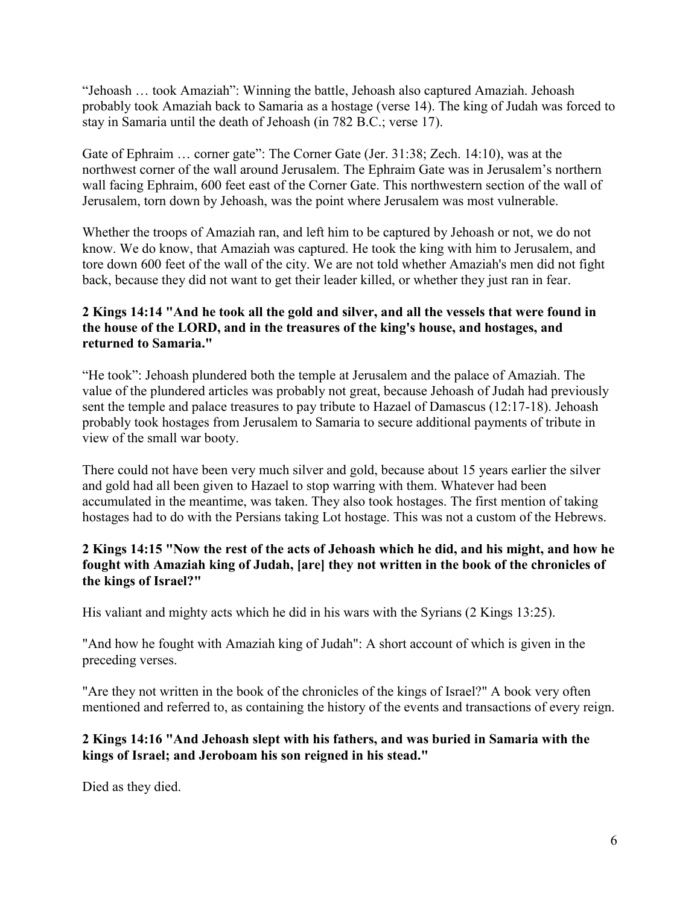"Jehoash … took Amaziah": Winning the battle, Jehoash also captured Amaziah. Jehoash probably took Amaziah back to Samaria as a hostage (verse 14). The king of Judah was forced to stay in Samaria until the death of Jehoash (in 782 B.C.; verse 17).

Gate of Ephraim ... corner gate": The Corner Gate (Jer. 31:38; Zech. 14:10), was at the northwest corner of the wall around Jerusalem. The Ephraim Gate was in Jerusalem's northern wall facing Ephraim, 600 feet east of the Corner Gate. This northwestern section of the wall of Jerusalem, torn down by Jehoash, was the point where Jerusalem was most vulnerable.

Whether the troops of Amaziah ran, and left him to be captured by Jehoash or not, we do not know. We do know, that Amaziah was captured. He took the king with him to Jerusalem, and tore down 600 feet of the wall of the city. We are not told whether Amaziah's men did not fight back, because they did not want to get their leader killed, or whether they just ran in fear.

# **2 Kings 14:14 "And he took all the gold and silver, and all the vessels that were found in the house of the LORD, and in the treasures of the king's house, and hostages, and returned to Samaria."**

"He took": Jehoash plundered both the temple at Jerusalem and the palace of Amaziah. The value of the plundered articles was probably not great, because Jehoash of Judah had previously sent the temple and palace treasures to pay tribute to Hazael of Damascus (12:17-18). Jehoash probably took hostages from Jerusalem to Samaria to secure additional payments of tribute in view of the small war booty.

There could not have been very much silver and gold, because about 15 years earlier the silver and gold had all been given to Hazael to stop warring with them. Whatever had been accumulated in the meantime, was taken. They also took hostages. The first mention of taking hostages had to do with the Persians taking Lot hostage. This was not a custom of the Hebrews.

# **2 Kings 14:15 "Now the rest of the acts of Jehoash which he did, and his might, and how he fought with Amaziah king of Judah, [are] they not written in the book of the chronicles of the kings of Israel?"**

His valiant and mighty acts which he did in his wars with the Syrians (2 Kings 13:25).

"And how he fought with Amaziah king of Judah": A short account of which is given in the preceding verses.

"Are they not written in the book of the chronicles of the kings of Israel?" A book very often mentioned and referred to, as containing the history of the events and transactions of every reign.

# **2 Kings 14:16 "And Jehoash slept with his fathers, and was buried in Samaria with the kings of Israel; and Jeroboam his son reigned in his stead."**

Died as they died.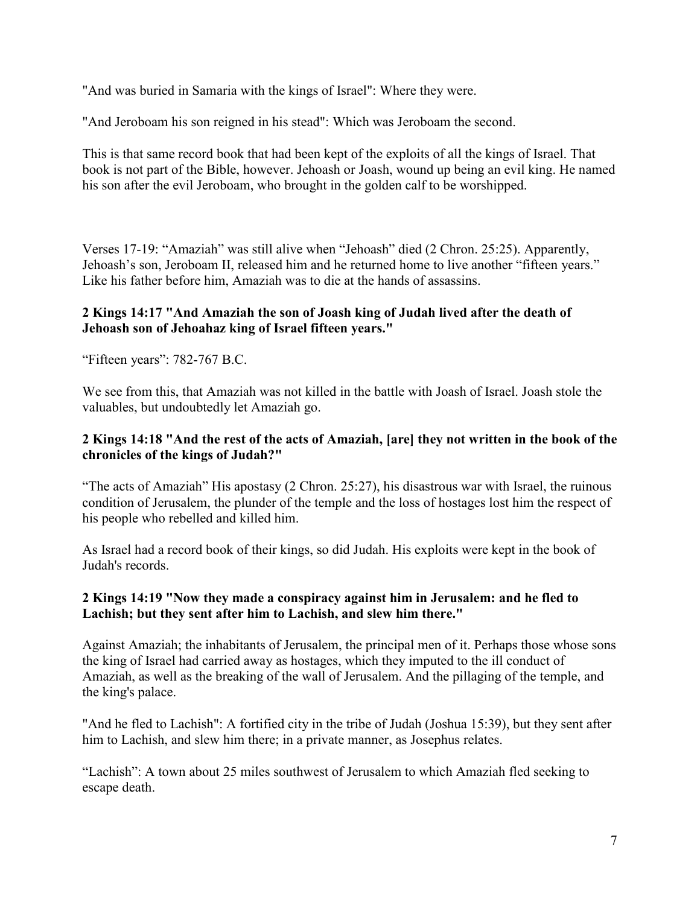"And was buried in Samaria with the kings of Israel": Where they were.

"And Jeroboam his son reigned in his stead": Which was Jeroboam the second.

This is that same record book that had been kept of the exploits of all the kings of Israel. That book is not part of the Bible, however. Jehoash or Joash, wound up being an evil king. He named his son after the evil Jeroboam, who brought in the golden calf to be worshipped.

Verses 17-19: "Amaziah" was still alive when "Jehoash" died (2 Chron. 25:25). Apparently, Jehoash's son, Jeroboam II, released him and he returned home to live another "fifteen years." Like his father before him, Amaziah was to die at the hands of assassins.

#### **2 Kings 14:17 "And Amaziah the son of Joash king of Judah lived after the death of Jehoash son of Jehoahaz king of Israel fifteen years."**

"Fifteen years": 782-767 B.C.

We see from this, that Amaziah was not killed in the battle with Joash of Israel. Joash stole the valuables, but undoubtedly let Amaziah go.

#### **2 Kings 14:18 "And the rest of the acts of Amaziah, [are] they not written in the book of the chronicles of the kings of Judah?"**

"The acts of Amaziah" His apostasy (2 Chron. 25:27), his disastrous war with Israel, the ruinous condition of Jerusalem, the plunder of the temple and the loss of hostages lost him the respect of his people who rebelled and killed him.

As Israel had a record book of their kings, so did Judah. His exploits were kept in the book of Judah's records.

#### **2 Kings 14:19 "Now they made a conspiracy against him in Jerusalem: and he fled to Lachish; but they sent after him to Lachish, and slew him there."**

Against Amaziah; the inhabitants of Jerusalem, the principal men of it. Perhaps those whose sons the king of Israel had carried away as hostages, which they imputed to the ill conduct of Amaziah, as well as the breaking of the wall of Jerusalem. And the pillaging of the temple, and the king's palace.

"And he fled to Lachish": A fortified city in the tribe of Judah (Joshua 15:39), but they sent after him to Lachish, and slew him there; in a private manner, as Josephus relates.

"Lachish": A town about 25 miles southwest of Jerusalem to which Amaziah fled seeking to escape death.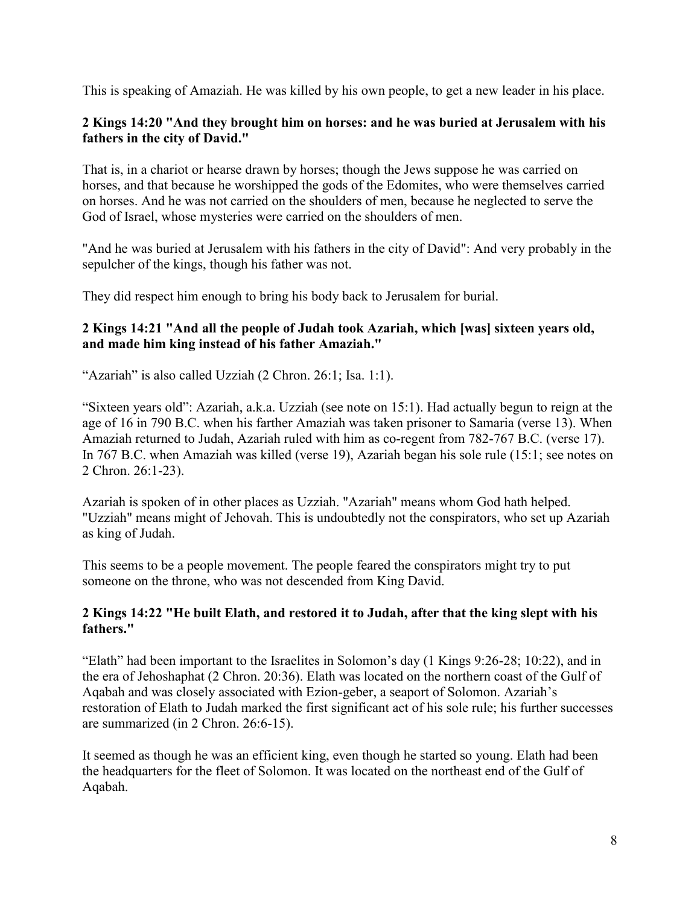This is speaking of Amaziah. He was killed by his own people, to get a new leader in his place.

## **2 Kings 14:20 "And they brought him on horses: and he was buried at Jerusalem with his fathers in the city of David."**

That is, in a chariot or hearse drawn by horses; though the Jews suppose he was carried on horses, and that because he worshipped the gods of the Edomites, who were themselves carried on horses. And he was not carried on the shoulders of men, because he neglected to serve the God of Israel, whose mysteries were carried on the shoulders of men.

"And he was buried at Jerusalem with his fathers in the city of David": And very probably in the sepulcher of the kings, though his father was not.

They did respect him enough to bring his body back to Jerusalem for burial.

# **2 Kings 14:21 "And all the people of Judah took Azariah, which [was] sixteen years old, and made him king instead of his father Amaziah."**

"Azariah" is also called Uzziah (2 Chron. 26:1; Isa. 1:1).

"Sixteen years old": Azariah, a.k.a. Uzziah (see note on 15:1). Had actually begun to reign at the age of 16 in 790 B.C. when his farther Amaziah was taken prisoner to Samaria (verse 13). When Amaziah returned to Judah, Azariah ruled with him as co-regent from 782-767 B.C. (verse 17). In 767 B.C. when Amaziah was killed (verse 19), Azariah began his sole rule (15:1; see notes on 2 Chron. 26:1-23).

Azariah is spoken of in other places as Uzziah. "Azariah" means whom God hath helped. "Uzziah" means might of Jehovah. This is undoubtedly not the conspirators, who set up Azariah as king of Judah.

This seems to be a people movement. The people feared the conspirators might try to put someone on the throne, who was not descended from King David.

#### **2 Kings 14:22 "He built Elath, and restored it to Judah, after that the king slept with his fathers."**

"Elath" had been important to the Israelites in Solomon's day (1 Kings 9:26-28; 10:22), and in the era of Jehoshaphat (2 Chron. 20:36). Elath was located on the northern coast of the Gulf of Aqabah and was closely associated with Ezion-geber, a seaport of Solomon. Azariah's restoration of Elath to Judah marked the first significant act of his sole rule; his further successes are summarized (in 2 Chron. 26:6-15).

It seemed as though he was an efficient king, even though he started so young. Elath had been the headquarters for the fleet of Solomon. It was located on the northeast end of the Gulf of Aqabah.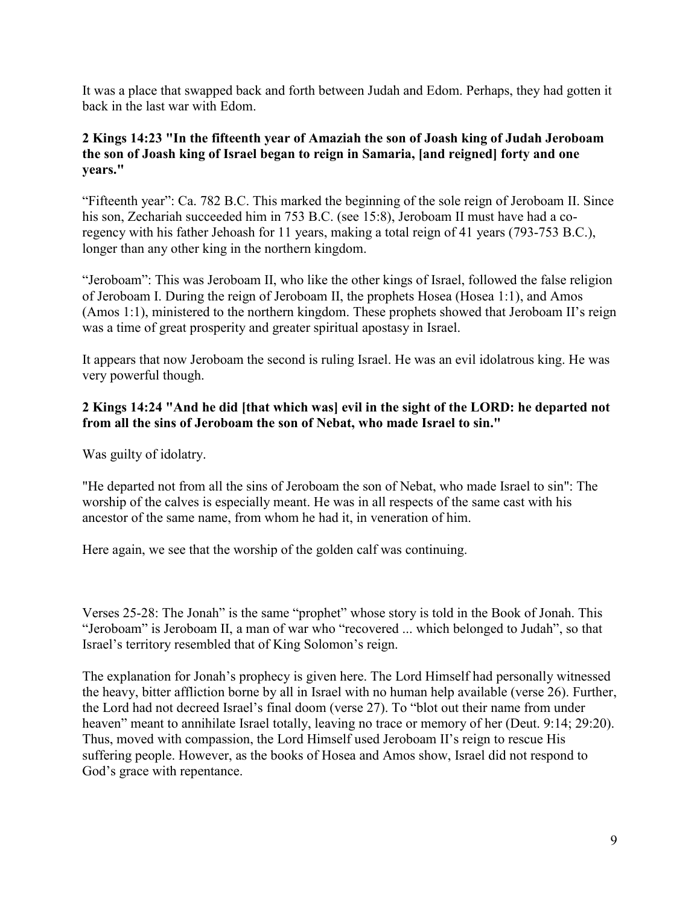It was a place that swapped back and forth between Judah and Edom. Perhaps, they had gotten it back in the last war with Edom.

## **2 Kings 14:23 "In the fifteenth year of Amaziah the son of Joash king of Judah Jeroboam the son of Joash king of Israel began to reign in Samaria, [and reigned] forty and one years."**

"Fifteenth year": Ca. 782 B.C. This marked the beginning of the sole reign of Jeroboam II. Since his son, Zechariah succeeded him in 753 B.C. (see 15:8), Jeroboam II must have had a coregency with his father Jehoash for 11 years, making a total reign of 41 years (793-753 B.C.), longer than any other king in the northern kingdom.

"Jeroboam": This was Jeroboam II, who like the other kings of Israel, followed the false religion of Jeroboam I. During the reign of Jeroboam II, the prophets Hosea (Hosea 1:1), and Amos (Amos 1:1), ministered to the northern kingdom. These prophets showed that Jeroboam II's reign was a time of great prosperity and greater spiritual apostasy in Israel.

It appears that now Jeroboam the second is ruling Israel. He was an evil idolatrous king. He was very powerful though.

# **2 Kings 14:24 "And he did [that which was] evil in the sight of the LORD: he departed not from all the sins of Jeroboam the son of Nebat, who made Israel to sin."**

Was guilty of idolatry.

"He departed not from all the sins of Jeroboam the son of Nebat, who made Israel to sin": The worship of the calves is especially meant. He was in all respects of the same cast with his ancestor of the same name, from whom he had it, in veneration of him.

Here again, we see that the worship of the golden calf was continuing.

Verses 25-28: The Jonah" is the same "prophet" whose story is told in the Book of Jonah. This "Jeroboam" is Jeroboam II, a man of war who "recovered ... which belonged to Judah", so that Israel's territory resembled that of King Solomon's reign.

The explanation for Jonah's prophecy is given here. The Lord Himself had personally witnessed the heavy, bitter affliction borne by all in Israel with no human help available (verse 26). Further, the Lord had not decreed Israel's final doom (verse 27). To "blot out their name from under heaven" meant to annihilate Israel totally, leaving no trace or memory of her (Deut. 9:14; 29:20). Thus, moved with compassion, the Lord Himself used Jeroboam II's reign to rescue His suffering people. However, as the books of Hosea and Amos show, Israel did not respond to God's grace with repentance.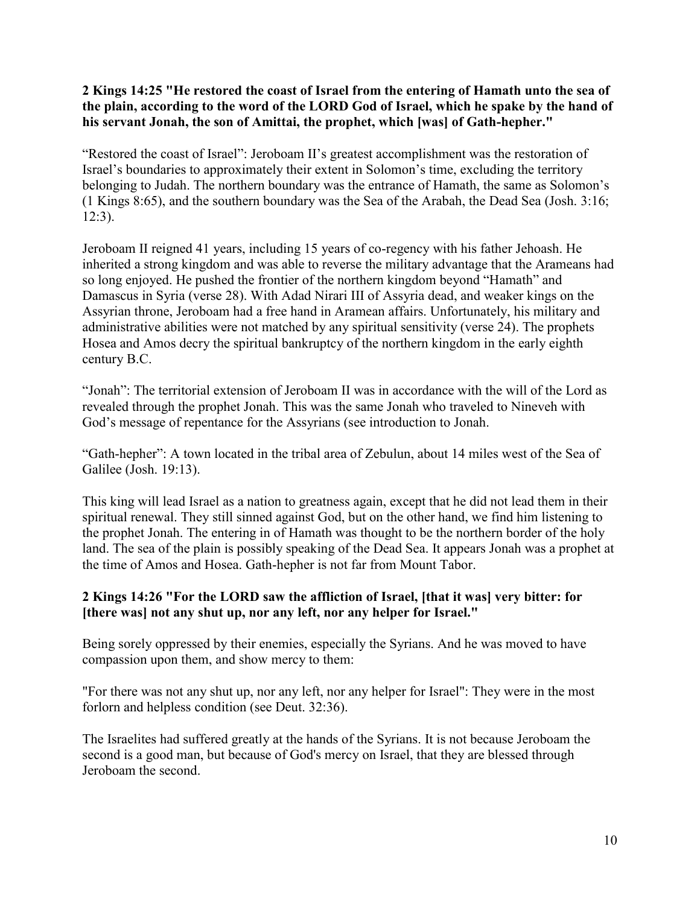## **2 Kings 14:25 "He restored the coast of Israel from the entering of Hamath unto the sea of the plain, according to the word of the LORD God of Israel, which he spake by the hand of his servant Jonah, the son of Amittai, the prophet, which [was] of Gath-hepher."**

"Restored the coast of Israel": Jeroboam II's greatest accomplishment was the restoration of Israel's boundaries to approximately their extent in Solomon's time, excluding the territory belonging to Judah. The northern boundary was the entrance of Hamath, the same as Solomon's (1 Kings 8:65), and the southern boundary was the Sea of the Arabah, the Dead Sea (Josh. 3:16; 12:3).

Jeroboam II reigned 41 years, including 15 years of co-regency with his father Jehoash. He inherited a strong kingdom and was able to reverse the military advantage that the Arameans had so long enjoyed. He pushed the frontier of the northern kingdom beyond "Hamath" and Damascus in Syria (verse 28). With Adad Nirari III of Assyria dead, and weaker kings on the Assyrian throne, Jeroboam had a free hand in Aramean affairs. Unfortunately, his military and administrative abilities were not matched by any spiritual sensitivity (verse 24). The prophets Hosea and Amos decry the spiritual bankruptcy of the northern kingdom in the early eighth century B.C.

"Jonah": The territorial extension of Jeroboam II was in accordance with the will of the Lord as revealed through the prophet Jonah. This was the same Jonah who traveled to Nineveh with God's message of repentance for the Assyrians (see introduction to Jonah.

"Gath-hepher": A town located in the tribal area of Zebulun, about 14 miles west of the Sea of Galilee (Josh. 19:13).

This king will lead Israel as a nation to greatness again, except that he did not lead them in their spiritual renewal. They still sinned against God, but on the other hand, we find him listening to the prophet Jonah. The entering in of Hamath was thought to be the northern border of the holy land. The sea of the plain is possibly speaking of the Dead Sea. It appears Jonah was a prophet at the time of Amos and Hosea. Gath-hepher is not far from Mount Tabor.

# **2 Kings 14:26 "For the LORD saw the affliction of Israel, [that it was] very bitter: for [there was] not any shut up, nor any left, nor any helper for Israel."**

Being sorely oppressed by their enemies, especially the Syrians. And he was moved to have compassion upon them, and show mercy to them:

"For there was not any shut up, nor any left, nor any helper for Israel": They were in the most forlorn and helpless condition (see Deut. 32:36).

The Israelites had suffered greatly at the hands of the Syrians. It is not because Jeroboam the second is a good man, but because of God's mercy on Israel, that they are blessed through Jeroboam the second.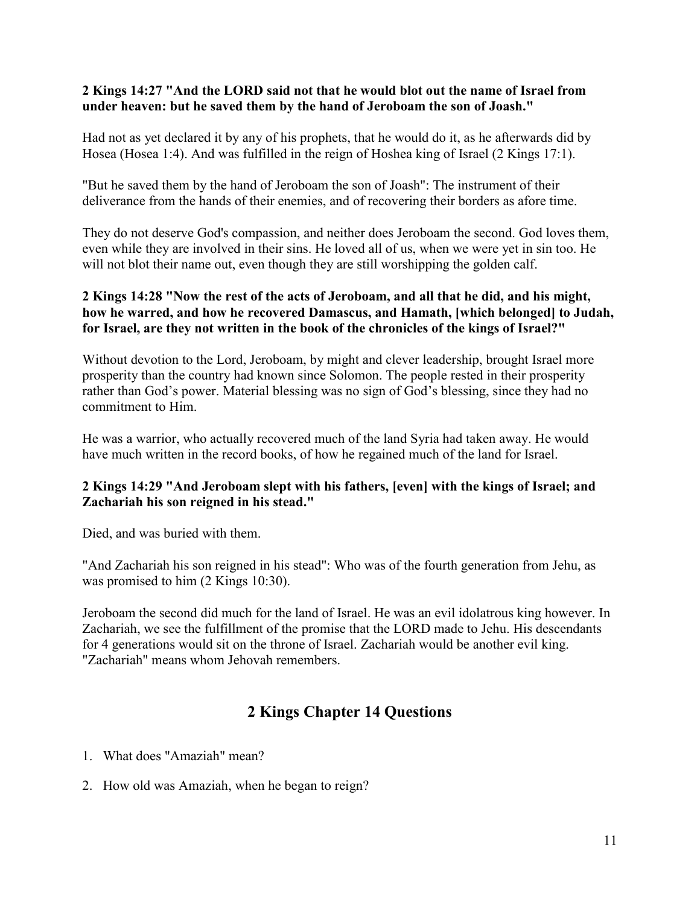#### **2 Kings 14:27 "And the LORD said not that he would blot out the name of Israel from under heaven: but he saved them by the hand of Jeroboam the son of Joash."**

Had not as yet declared it by any of his prophets, that he would do it, as he afterwards did by Hosea (Hosea 1:4). And was fulfilled in the reign of Hoshea king of Israel (2 Kings 17:1).

"But he saved them by the hand of Jeroboam the son of Joash": The instrument of their deliverance from the hands of their enemies, and of recovering their borders as afore time.

They do not deserve God's compassion, and neither does Jeroboam the second. God loves them, even while they are involved in their sins. He loved all of us, when we were yet in sin too. He will not blot their name out, even though they are still worshipping the golden calf.

# **2 Kings 14:28 "Now the rest of the acts of Jeroboam, and all that he did, and his might, how he warred, and how he recovered Damascus, and Hamath, [which belonged] to Judah, for Israel, are they not written in the book of the chronicles of the kings of Israel?"**

Without devotion to the Lord, Jeroboam, by might and clever leadership, brought Israel more prosperity than the country had known since Solomon. The people rested in their prosperity rather than God's power. Material blessing was no sign of God's blessing, since they had no commitment to Him.

He was a warrior, who actually recovered much of the land Syria had taken away. He would have much written in the record books, of how he regained much of the land for Israel.

# **2 Kings 14:29 "And Jeroboam slept with his fathers, [even] with the kings of Israel; and Zachariah his son reigned in his stead."**

Died, and was buried with them.

"And Zachariah his son reigned in his stead": Who was of the fourth generation from Jehu, as was promised to him (2 Kings 10:30).

Jeroboam the second did much for the land of Israel. He was an evil idolatrous king however. In Zachariah, we see the fulfillment of the promise that the LORD made to Jehu. His descendants for 4 generations would sit on the throne of Israel. Zachariah would be another evil king. "Zachariah" means whom Jehovah remembers.

# **2 Kings Chapter 14 Questions**

- 1. What does "Amaziah" mean?
- 2. How old was Amaziah, when he began to reign?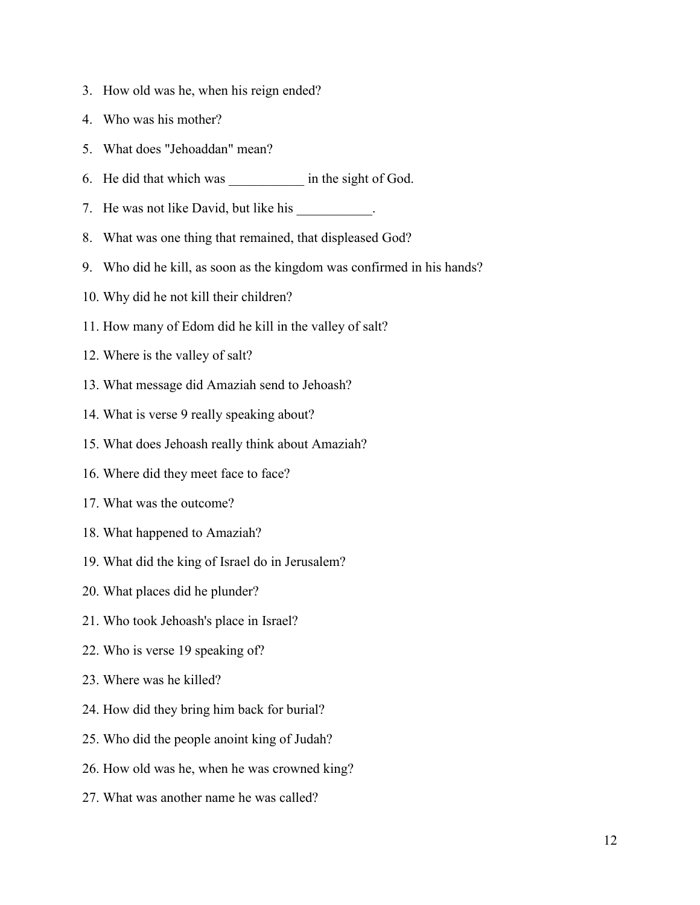- 3. How old was he, when his reign ended?
- 4. Who was his mother?
- 5. What does "Jehoaddan" mean?
- 6. He did that which was \_\_\_\_\_\_\_\_\_\_\_ in the sight of God.
- 7. He was not like David, but like his \_\_\_\_\_\_\_\_\_\_.
- 8. What was one thing that remained, that displeased God?
- 9. Who did he kill, as soon as the kingdom was confirmed in his hands?
- 10. Why did he not kill their children?
- 11. How many of Edom did he kill in the valley of salt?
- 12. Where is the valley of salt?
- 13. What message did Amaziah send to Jehoash?
- 14. What is verse 9 really speaking about?
- 15. What does Jehoash really think about Amaziah?
- 16. Where did they meet face to face?
- 17. What was the outcome?
- 18. What happened to Amaziah?
- 19. What did the king of Israel do in Jerusalem?
- 20. What places did he plunder?
- 21. Who took Jehoash's place in Israel?
- 22. Who is verse 19 speaking of?
- 23. Where was he killed?
- 24. How did they bring him back for burial?
- 25. Who did the people anoint king of Judah?
- 26. How old was he, when he was crowned king?
- 27. What was another name he was called?